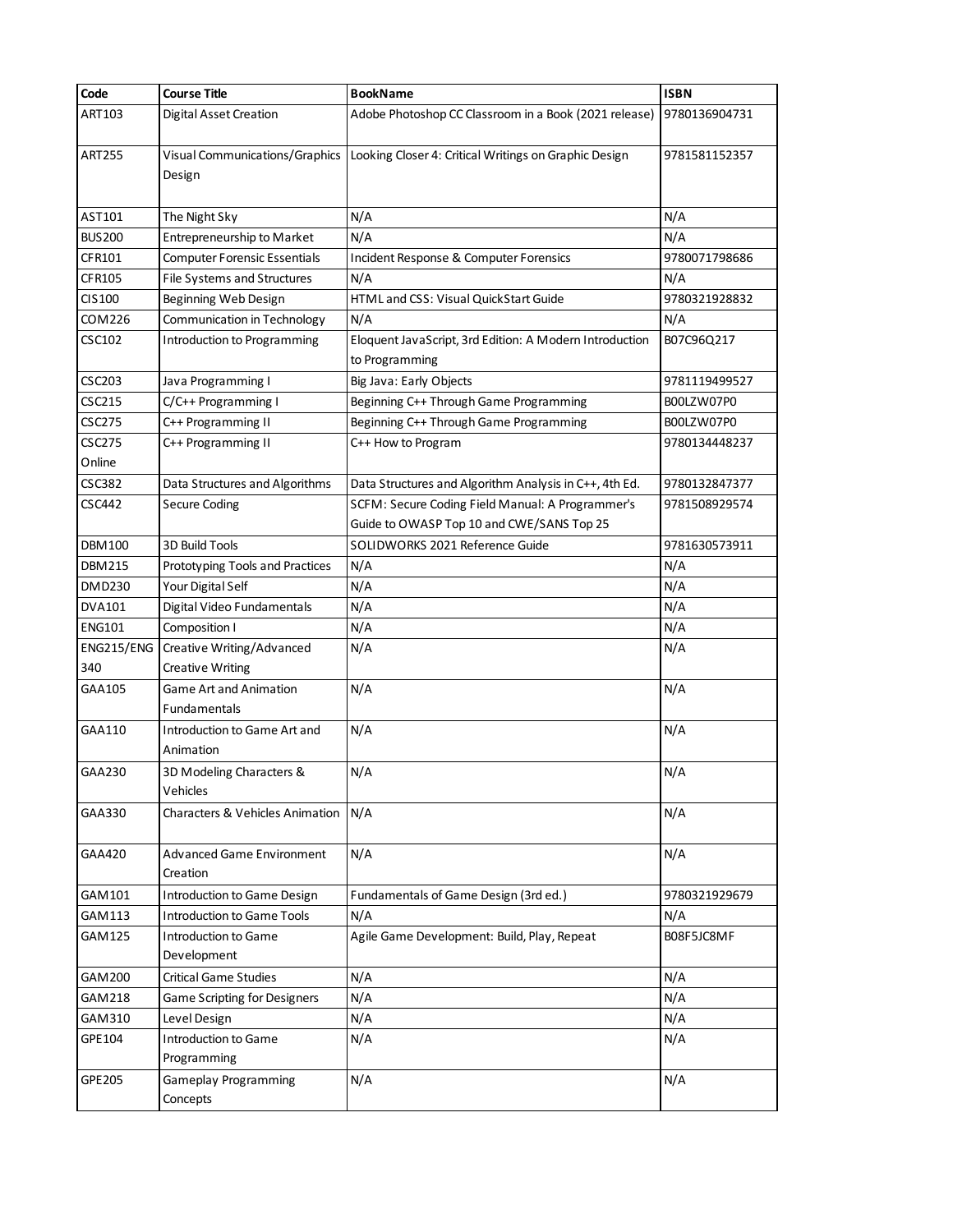| Code                    | <b>Course Title</b>                           | <b>BookName</b>                                                           | <b>ISBN</b>   |
|-------------------------|-----------------------------------------------|---------------------------------------------------------------------------|---------------|
| ART103                  | <b>Digital Asset Creation</b>                 | Adobe Photoshop CC Classroom in a Book (2021 release)                     | 9780136904731 |
| <b>ART255</b>           | Visual Communications/Graphics<br>Design      | Looking Closer 4: Critical Writings on Graphic Design                     | 9781581152357 |
| AST101                  | The Night Sky                                 | N/A                                                                       | N/A           |
| <b>BUS200</b>           | Entrepreneurship to Market                    | N/A                                                                       | N/A           |
| CFR101                  | <b>Computer Forensic Essentials</b>           | Incident Response & Computer Forensics                                    | 9780071798686 |
| CFR105                  | File Systems and Structures                   | N/A                                                                       | N/A           |
| CIS100                  | Beginning Web Design                          | HTML and CSS: Visual QuickStart Guide                                     | 9780321928832 |
| COM226                  | Communication in Technology                   | N/A                                                                       | N/A           |
| CSC102                  | Introduction to Programming                   | Eloquent JavaScript, 3rd Edition: A Modern Introduction<br>to Programming | B07C96Q217    |
| <b>CSC203</b>           | Java Programming I                            | Big Java: Early Objects                                                   | 9781119499527 |
| CSC215                  | C/C++ Programming I                           | Beginning C++ Through Game Programming                                    | B00LZW07P0    |
| <b>CSC275</b>           | C++ Programming II                            | Beginning C++ Through Game Programming                                    | B00LZW07P0    |
| <b>CSC275</b><br>Online | C++ Programming II                            | C++ How to Program                                                        | 9780134448237 |
| CSC382                  | Data Structures and Algorithms                | Data Structures and Algorithm Analysis in C++, 4th Ed.                    | 9780132847377 |
| CSC442                  | <b>Secure Coding</b>                          | SCFM: Secure Coding Field Manual: A Programmer's                          | 9781508929574 |
|                         |                                               | Guide to OWASP Top 10 and CWE/SANS Top 25                                 |               |
| DBM100                  | 3D Build Tools                                | SOLIDWORKS 2021 Reference Guide                                           | 9781630573911 |
| DBM215                  | Prototyping Tools and Practices               | N/A                                                                       | N/A           |
| DMD230                  | Your Digital Self                             | N/A                                                                       | N/A           |
| DVA101                  | Digital Video Fundamentals                    | N/A                                                                       | N/A           |
| <b>ENG101</b>           | Composition I                                 | N/A                                                                       | N/A           |
| ENG215/ENG              | Creative Writing/Advanced                     | N/A                                                                       | N/A           |
| 340                     | <b>Creative Writing</b>                       |                                                                           |               |
| GAA105                  | <b>Game Art and Animation</b><br>Fundamentals | N/A                                                                       | N/A           |
| GAA110                  | Introduction to Game Art and<br>Animation     | N/A                                                                       | N/A           |
| GAA230                  | 3D Modeling Characters &<br>Vehicles          | N/A                                                                       | N/A           |
| GAA330                  | Characters & Vehicles Animation               | N/A                                                                       | N/A           |
| GAA420                  | <b>Advanced Game Environment</b><br>Creation  | N/A                                                                       | N/A           |
| GAM101                  | Introduction to Game Design                   | Fundamentals of Game Design (3rd ed.)                                     | 9780321929679 |
| GAM113                  | <b>Introduction to Game Tools</b>             | N/A                                                                       | N/A           |
| GAM125                  | <b>Introduction to Game</b>                   | Agile Game Development: Build, Play, Repeat                               | B08F5JC8MF    |
|                         | Development                                   |                                                                           |               |
| GAM 200                 | <b>Critical Game Studies</b>                  | N/A                                                                       | N/A           |
| GAM218                  | <b>Game Scripting for Designers</b>           | N/A                                                                       | N/A           |
| GAM310                  | Level Design                                  | N/A                                                                       | N/A           |
| GPE104                  | <b>Introduction to Game</b>                   | N/A                                                                       | N/A           |
|                         | Programming                                   |                                                                           |               |
| GPE 205                 | <b>Gameplay Programming</b><br>Concepts       | N/A                                                                       | N/A           |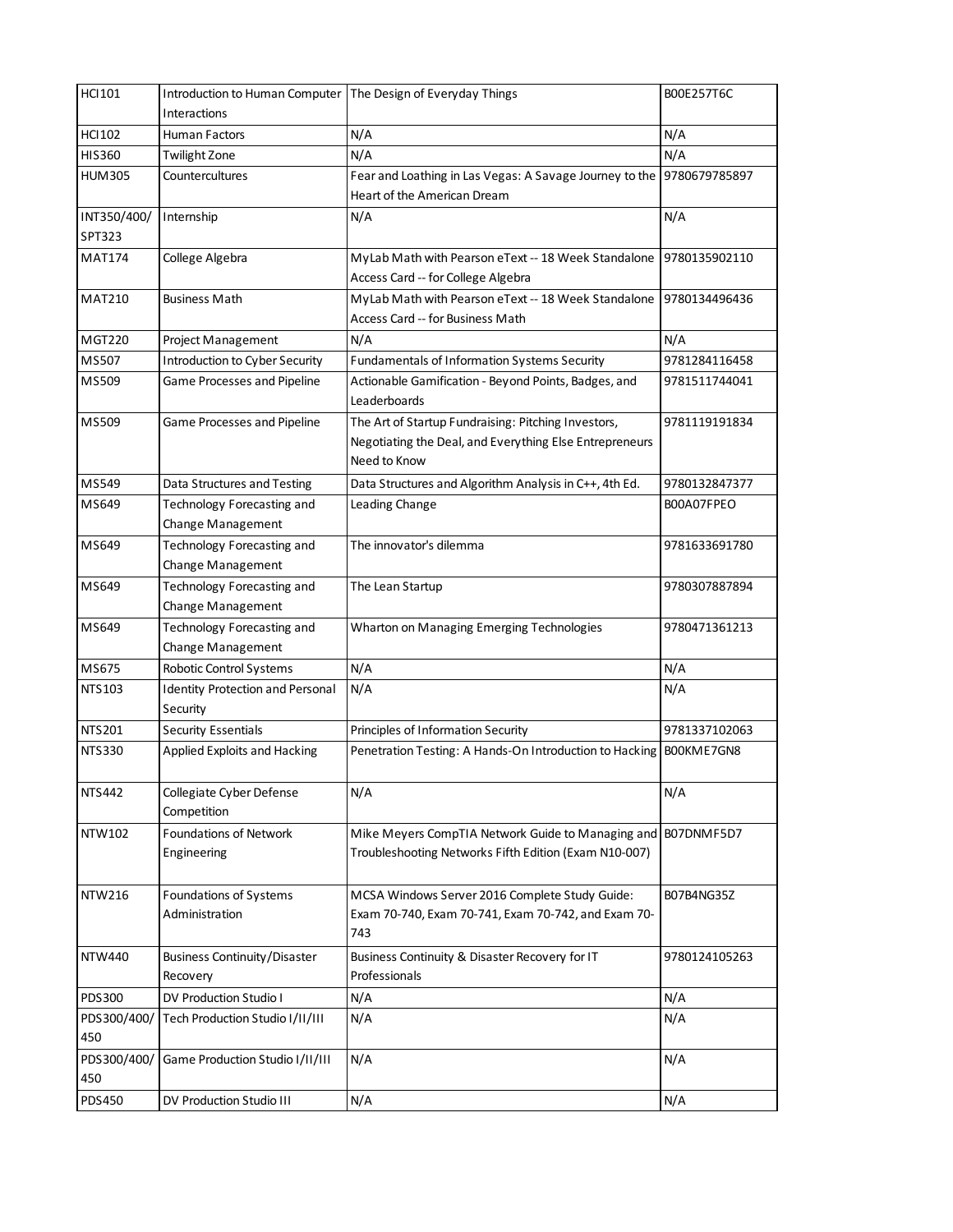| <b>HCI101</b>         | Introduction to Human Computer                      | The Design of Everyday Things                                                                                                  | B00E257T6C    |
|-----------------------|-----------------------------------------------------|--------------------------------------------------------------------------------------------------------------------------------|---------------|
|                       | Interactions                                        |                                                                                                                                |               |
| <b>HCI102</b>         | <b>Human Factors</b>                                | N/A                                                                                                                            | N/A           |
| <b>HIS360</b>         | <b>Twilight Zone</b>                                | N/A                                                                                                                            | N/A           |
| <b>HUM305</b>         | Countercultures                                     | Fear and Loathing in Las Vegas: A Savage Journey to the<br>Heart of the American Dream                                         | 9780679785897 |
| INT350/400/<br>SPT323 | Internship                                          | N/A                                                                                                                            | N/A           |
| <b>MAT174</b>         | College Algebra                                     | MyLab Math with Pearson eText -- 18 Week Standalone<br>Access Card -- for College Algebra                                      | 9780135902110 |
| <b>MAT210</b>         | <b>Business Math</b>                                | MyLab Math with Pearson eText -- 18 Week Standalone<br>Access Card -- for Business Math                                        | 9780134496436 |
| <b>MGT220</b>         | Project Management                                  | N/A                                                                                                                            | N/A           |
| MS507                 | Introduction to Cyber Security                      | <b>Fundamentals of Information Systems Security</b>                                                                            | 9781284116458 |
| MS509                 | Game Processes and Pipeline                         | Actionable Gamification - Beyond Points, Badges, and<br>Leaderboards                                                           | 9781511744041 |
| MS509                 | Game Processes and Pipeline                         | The Art of Startup Fundraising: Pitching Investors,<br>Negotiating the Deal, and Everything Else Entrepreneurs<br>Need to Know | 9781119191834 |
| MS549                 | Data Structures and Testing                         | Data Structures and Algorithm Analysis in C++, 4th Ed.                                                                         | 9780132847377 |
| MS649                 | Technology Forecasting and                          | Leading Change                                                                                                                 | B00A07FPEO    |
|                       | Change Management                                   |                                                                                                                                |               |
| MS649                 | Technology Forecasting and                          | The innovator's dilemma                                                                                                        | 9781633691780 |
|                       | Change Management                                   |                                                                                                                                |               |
| MS649                 | Technology Forecasting and                          | The Lean Startup                                                                                                               | 9780307887894 |
|                       | Change Management                                   |                                                                                                                                |               |
| MS649                 | Technology Forecasting and<br>Change Management     | Wharton on Managing Emerging Technologies                                                                                      | 9780471361213 |
| MS675                 | Robotic Control Systems                             | N/A                                                                                                                            | N/A           |
| NTS103                | <b>Identity Protection and Personal</b><br>Security | N/A                                                                                                                            | N/A           |
| <b>NTS201</b>         | <b>Security Essentials</b>                          | Principles of Information Security                                                                                             | 9781337102063 |
| <b>NTS330</b>         | Applied Exploits and Hacking                        | Penetration Testing: A Hands-On Introduction to Hacking                                                                        | BOOKME7GN8    |
| <b>NTS442</b>         | Collegiate Cyber Defense<br>Competition             | N/A                                                                                                                            | N/A           |
| NTW102                | <b>Foundations of Network</b><br>Engineering        | Mike Meyers CompTIA Network Guide to Managing and B07DNMF5D7<br>Troubleshooting Networks Fifth Edition (Exam N10-007)          |               |
| <b>NTW216</b>         | Foundations of Systems<br>Administration            | MCSA Windows Server 2016 Complete Study Guide:<br>Exam 70-740, Exam 70-741, Exam 70-742, and Exam 70-<br>743                   | B07B4NG35Z    |
| <b>NTW440</b>         | <b>Business Continuity/Disaster</b><br>Recovery     | Business Continuity & Disaster Recovery for IT<br>Professionals                                                                | 9780124105263 |
| PDS300                | DV Production Studio I                              | N/A                                                                                                                            | N/A           |
| PDS300/400/<br>450    | Tech Production Studio I/II/III                     | N/A                                                                                                                            | N/A           |
| PDS300/400/<br>450    | Game Production Studio I/II/III                     | N/A                                                                                                                            | N/A           |
| PDS450                | DV Production Studio III                            | N/A                                                                                                                            | N/A           |
|                       |                                                     |                                                                                                                                |               |